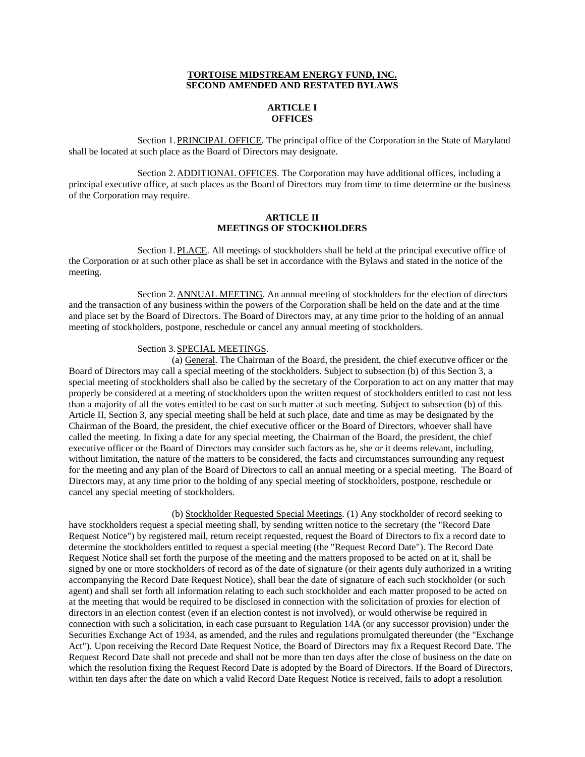### **TORTOISE MIDSTREAM ENERGY FUND, INC. SECOND AMENDED AND RESTATED BYLAWS**

# **ARTICLE I OFFICES**

Section 1.PRINCIPAL OFFICE. The principal office of the Corporation in the State of Maryland shall be located at such place as the Board of Directors may designate.

Section 2.ADDITIONAL OFFICES. The Corporation may have additional offices, including a principal executive office, at such places as the Board of Directors may from time to time determine or the business of the Corporation may require.

### **ARTICLE II MEETINGS OF STOCKHOLDERS**

Section 1.PLACE. All meetings of stockholders shall be held at the principal executive office of the Corporation or at such other place as shall be set in accordance with the Bylaws and stated in the notice of the meeting.

Section 2.ANNUAL MEETING. An annual meeting of stockholders for the election of directors and the transaction of any business within the powers of the Corporation shall be held on the date and at the time and place set by the Board of Directors. The Board of Directors may, at any time prior to the holding of an annual meeting of stockholders, postpone, reschedule or cancel any annual meeting of stockholders.

## Section 3.SPECIAL MEETINGS.

(a) General. The Chairman of the Board, the president, the chief executive officer or the Board of Directors may call a special meeting of the stockholders. Subject to subsection (b) of this Section 3, a special meeting of stockholders shall also be called by the secretary of the Corporation to act on any matter that may properly be considered at a meeting of stockholders upon the written request of stockholders entitled to cast not less than a majority of all the votes entitled to be cast on such matter at such meeting. Subject to subsection (b) of this Article II, Section 3, any special meeting shall be held at such place, date and time as may be designated by the Chairman of the Board, the president, the chief executive officer or the Board of Directors, whoever shall have called the meeting. In fixing a date for any special meeting, the Chairman of the Board, the president, the chief executive officer or the Board of Directors may consider such factors as he, she or it deems relevant, including, without limitation, the nature of the matters to be considered, the facts and circumstances surrounding any request for the meeting and any plan of the Board of Directors to call an annual meeting or a special meeting. The Board of Directors may, at any time prior to the holding of any special meeting of stockholders, postpone, reschedule or cancel any special meeting of stockholders.

(b) Stockholder Requested Special Meetings. (1) Any stockholder of record seeking to have stockholders request a special meeting shall, by sending written notice to the secretary (the "Record Date Request Notice") by registered mail, return receipt requested, request the Board of Directors to fix a record date to determine the stockholders entitled to request a special meeting (the "Request Record Date"). The Record Date Request Notice shall set forth the purpose of the meeting and the matters proposed to be acted on at it, shall be signed by one or more stockholders of record as of the date of signature (or their agents duly authorized in a writing accompanying the Record Date Request Notice), shall bear the date of signature of each such stockholder (or such agent) and shall set forth all information relating to each such stockholder and each matter proposed to be acted on at the meeting that would be required to be disclosed in connection with the solicitation of proxies for election of directors in an election contest (even if an election contest is not involved), or would otherwise be required in connection with such a solicitation, in each case pursuant to Regulation 14A (or any successor provision) under the Securities Exchange Act of 1934, as amended, and the rules and regulations promulgated thereunder (the "Exchange Act"). Upon receiving the Record Date Request Notice, the Board of Directors may fix a Request Record Date. The Request Record Date shall not precede and shall not be more than ten days after the close of business on the date on which the resolution fixing the Request Record Date is adopted by the Board of Directors. If the Board of Directors, within ten days after the date on which a valid Record Date Request Notice is received, fails to adopt a resolution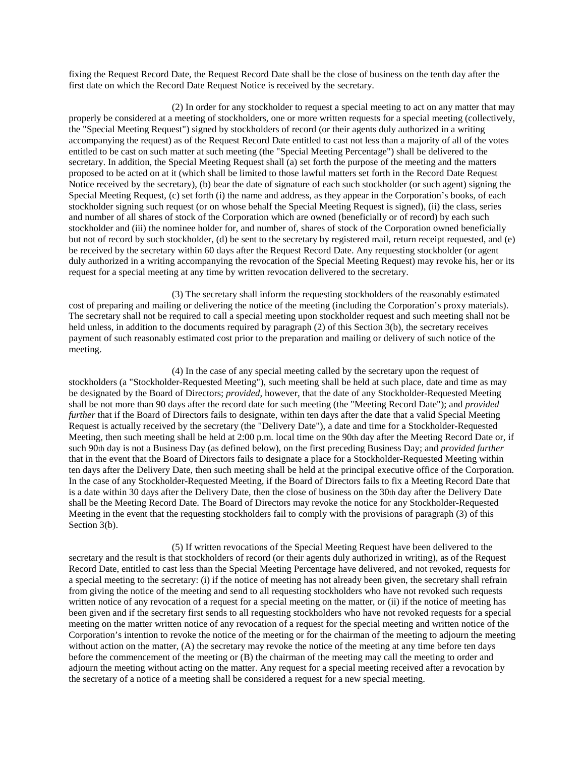fixing the Request Record Date, the Request Record Date shall be the close of business on the tenth day after the first date on which the Record Date Request Notice is received by the secretary.

(2) In order for any stockholder to request a special meeting to act on any matter that may properly be considered at a meeting of stockholders, one or more written requests for a special meeting (collectively, the "Special Meeting Request") signed by stockholders of record (or their agents duly authorized in a writing accompanying the request) as of the Request Record Date entitled to cast not less than a majority of all of the votes entitled to be cast on such matter at such meeting (the "Special Meeting Percentage") shall be delivered to the secretary. In addition, the Special Meeting Request shall (a) set forth the purpose of the meeting and the matters proposed to be acted on at it (which shall be limited to those lawful matters set forth in the Record Date Request Notice received by the secretary), (b) bear the date of signature of each such stockholder (or such agent) signing the Special Meeting Request, (c) set forth (i) the name and address, as they appear in the Corporation's books, of each stockholder signing such request (or on whose behalf the Special Meeting Request is signed), (ii) the class, series and number of all shares of stock of the Corporation which are owned (beneficially or of record) by each such stockholder and (iii) the nominee holder for, and number of, shares of stock of the Corporation owned beneficially but not of record by such stockholder, (d) be sent to the secretary by registered mail, return receipt requested, and (e) be received by the secretary within 60 days after the Request Record Date. Any requesting stockholder (or agent duly authorized in a writing accompanying the revocation of the Special Meeting Request) may revoke his, her or its request for a special meeting at any time by written revocation delivered to the secretary.

(3) The secretary shall inform the requesting stockholders of the reasonably estimated cost of preparing and mailing or delivering the notice of the meeting (including the Corporation's proxy materials). The secretary shall not be required to call a special meeting upon stockholder request and such meeting shall not be held unless, in addition to the documents required by paragraph (2) of this Section 3(b), the secretary receives payment of such reasonably estimated cost prior to the preparation and mailing or delivery of such notice of the meeting.

(4) In the case of any special meeting called by the secretary upon the request of stockholders (a "Stockholder-Requested Meeting"), such meeting shall be held at such place, date and time as may be designated by the Board of Directors; *provided*, however, that the date of any Stockholder-Requested Meeting shall be not more than 90 days after the record date for such meeting (the "Meeting Record Date"); and *provided further* that if the Board of Directors fails to designate, within ten days after the date that a valid Special Meeting Request is actually received by the secretary (the "Delivery Date"), a date and time for a Stockholder-Requested Meeting, then such meeting shall be held at 2:00 p.m. local time on the 90th day after the Meeting Record Date or, if such 90th day is not a Business Day (as defined below), on the first preceding Business Day; and *provided further* that in the event that the Board of Directors fails to designate a place for a Stockholder-Requested Meeting within ten days after the Delivery Date, then such meeting shall be held at the principal executive office of the Corporation. In the case of any Stockholder-Requested Meeting, if the Board of Directors fails to fix a Meeting Record Date that is a date within 30 days after the Delivery Date, then the close of business on the 30th day after the Delivery Date shall be the Meeting Record Date. The Board of Directors may revoke the notice for any Stockholder-Requested Meeting in the event that the requesting stockholders fail to comply with the provisions of paragraph (3) of this Section 3(b).

(5) If written revocations of the Special Meeting Request have been delivered to the secretary and the result is that stockholders of record (or their agents duly authorized in writing), as of the Request Record Date, entitled to cast less than the Special Meeting Percentage have delivered, and not revoked, requests for a special meeting to the secretary: (i) if the notice of meeting has not already been given, the secretary shall refrain from giving the notice of the meeting and send to all requesting stockholders who have not revoked such requests written notice of any revocation of a request for a special meeting on the matter, or (ii) if the notice of meeting has been given and if the secretary first sends to all requesting stockholders who have not revoked requests for a special meeting on the matter written notice of any revocation of a request for the special meeting and written notice of the Corporation's intention to revoke the notice of the meeting or for the chairman of the meeting to adjourn the meeting without action on the matter, (A) the secretary may revoke the notice of the meeting at any time before ten days before the commencement of the meeting or (B) the chairman of the meeting may call the meeting to order and adjourn the meeting without acting on the matter. Any request for a special meeting received after a revocation by the secretary of a notice of a meeting shall be considered a request for a new special meeting.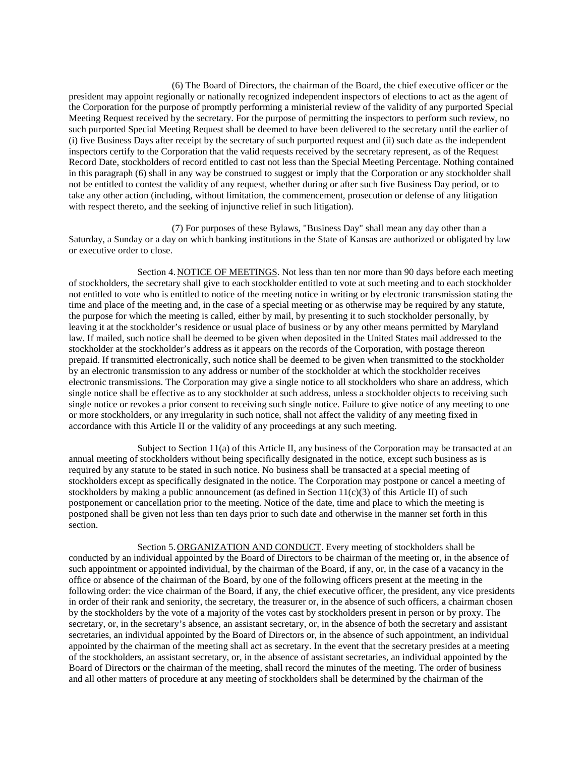(6) The Board of Directors, the chairman of the Board, the chief executive officer or the president may appoint regionally or nationally recognized independent inspectors of elections to act as the agent of the Corporation for the purpose of promptly performing a ministerial review of the validity of any purported Special Meeting Request received by the secretary. For the purpose of permitting the inspectors to perform such review, no such purported Special Meeting Request shall be deemed to have been delivered to the secretary until the earlier of (i) five Business Days after receipt by the secretary of such purported request and (ii) such date as the independent inspectors certify to the Corporation that the valid requests received by the secretary represent, as of the Request Record Date, stockholders of record entitled to cast not less than the Special Meeting Percentage. Nothing contained in this paragraph (6) shall in any way be construed to suggest or imply that the Corporation or any stockholder shall not be entitled to contest the validity of any request, whether during or after such five Business Day period, or to take any other action (including, without limitation, the commencement, prosecution or defense of any litigation with respect thereto, and the seeking of injunctive relief in such litigation).

(7) For purposes of these Bylaws, "Business Day" shall mean any day other than a Saturday, a Sunday or a day on which banking institutions in the State of Kansas are authorized or obligated by law or executive order to close.

Section 4.NOTICE OF MEETINGS. Not less than ten nor more than 90 days before each meeting of stockholders, the secretary shall give to each stockholder entitled to vote at such meeting and to each stockholder not entitled to vote who is entitled to notice of the meeting notice in writing or by electronic transmission stating the time and place of the meeting and, in the case of a special meeting or as otherwise may be required by any statute, the purpose for which the meeting is called, either by mail, by presenting it to such stockholder personally, by leaving it at the stockholder's residence or usual place of business or by any other means permitted by Maryland law. If mailed, such notice shall be deemed to be given when deposited in the United States mail addressed to the stockholder at the stockholder's address as it appears on the records of the Corporation, with postage thereon prepaid. If transmitted electronically, such notice shall be deemed to be given when transmitted to the stockholder by an electronic transmission to any address or number of the stockholder at which the stockholder receives electronic transmissions. The Corporation may give a single notice to all stockholders who share an address, which single notice shall be effective as to any stockholder at such address, unless a stockholder objects to receiving such single notice or revokes a prior consent to receiving such single notice. Failure to give notice of any meeting to one or more stockholders, or any irregularity in such notice, shall not affect the validity of any meeting fixed in accordance with this Article II or the validity of any proceedings at any such meeting.

Subject to Section 11(a) of this Article II, any business of the Corporation may be transacted at an annual meeting of stockholders without being specifically designated in the notice, except such business as is required by any statute to be stated in such notice. No business shall be transacted at a special meeting of stockholders except as specifically designated in the notice. The Corporation may postpone or cancel a meeting of stockholders by making a public announcement (as defined in Section  $11(c)(3)$  of this Article II) of such postponement or cancellation prior to the meeting. Notice of the date, time and place to which the meeting is postponed shall be given not less than ten days prior to such date and otherwise in the manner set forth in this section.

Section 5. ORGANIZATION AND CONDUCT. Every meeting of stockholders shall be conducted by an individual appointed by the Board of Directors to be chairman of the meeting or, in the absence of such appointment or appointed individual, by the chairman of the Board, if any, or, in the case of a vacancy in the office or absence of the chairman of the Board, by one of the following officers present at the meeting in the following order: the vice chairman of the Board, if any, the chief executive officer, the president, any vice presidents in order of their rank and seniority, the secretary, the treasurer or, in the absence of such officers, a chairman chosen by the stockholders by the vote of a majority of the votes cast by stockholders present in person or by proxy. The secretary, or, in the secretary's absence, an assistant secretary, or, in the absence of both the secretary and assistant secretaries, an individual appointed by the Board of Directors or, in the absence of such appointment, an individual appointed by the chairman of the meeting shall act as secretary. In the event that the secretary presides at a meeting of the stockholders, an assistant secretary, or, in the absence of assistant secretaries, an individual appointed by the Board of Directors or the chairman of the meeting, shall record the minutes of the meeting. The order of business and all other matters of procedure at any meeting of stockholders shall be determined by the chairman of the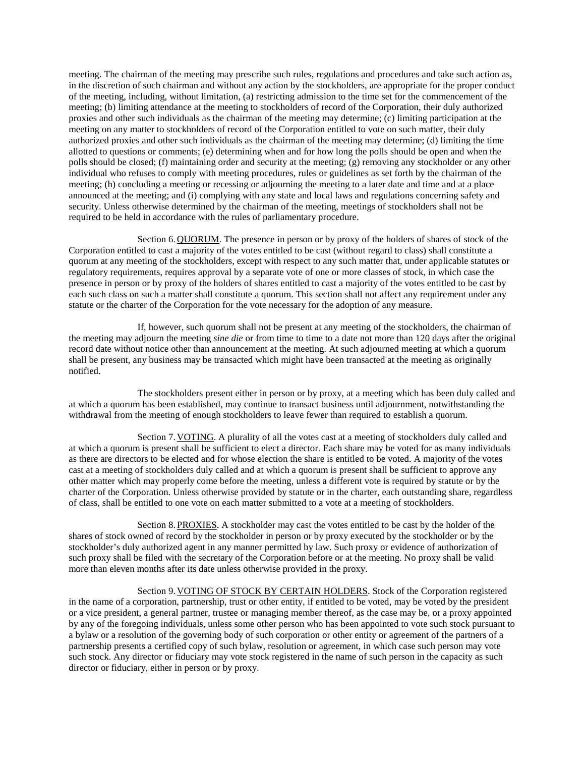meeting. The chairman of the meeting may prescribe such rules, regulations and procedures and take such action as, in the discretion of such chairman and without any action by the stockholders, are appropriate for the proper conduct of the meeting, including, without limitation, (a) restricting admission to the time set for the commencement of the meeting; (b) limiting attendance at the meeting to stockholders of record of the Corporation, their duly authorized proxies and other such individuals as the chairman of the meeting may determine; (c) limiting participation at the meeting on any matter to stockholders of record of the Corporation entitled to vote on such matter, their duly authorized proxies and other such individuals as the chairman of the meeting may determine; (d) limiting the time allotted to questions or comments; (e) determining when and for how long the polls should be open and when the polls should be closed; (f) maintaining order and security at the meeting; (g) removing any stockholder or any other individual who refuses to comply with meeting procedures, rules or guidelines as set forth by the chairman of the meeting; (h) concluding a meeting or recessing or adjourning the meeting to a later date and time and at a place announced at the meeting; and (i) complying with any state and local laws and regulations concerning safety and security. Unless otherwise determined by the chairman of the meeting, meetings of stockholders shall not be required to be held in accordance with the rules of parliamentary procedure.

Section 6.QUORUM. The presence in person or by proxy of the holders of shares of stock of the Corporation entitled to cast a majority of the votes entitled to be cast (without regard to class) shall constitute a quorum at any meeting of the stockholders, except with respect to any such matter that, under applicable statutes or regulatory requirements, requires approval by a separate vote of one or more classes of stock, in which case the presence in person or by proxy of the holders of shares entitled to cast a majority of the votes entitled to be cast by each such class on such a matter shall constitute a quorum. This section shall not affect any requirement under any statute or the charter of the Corporation for the vote necessary for the adoption of any measure.

If, however, such quorum shall not be present at any meeting of the stockholders, the chairman of the meeting may adjourn the meeting *sine die* or from time to time to a date not more than 120 days after the original record date without notice other than announcement at the meeting. At such adjourned meeting at which a quorum shall be present, any business may be transacted which might have been transacted at the meeting as originally notified.

The stockholders present either in person or by proxy, at a meeting which has been duly called and at which a quorum has been established, may continue to transact business until adjournment, notwithstanding the withdrawal from the meeting of enough stockholders to leave fewer than required to establish a quorum.

Section 7.VOTING. A plurality of all the votes cast at a meeting of stockholders duly called and at which a quorum is present shall be sufficient to elect a director. Each share may be voted for as many individuals as there are directors to be elected and for whose election the share is entitled to be voted. A majority of the votes cast at a meeting of stockholders duly called and at which a quorum is present shall be sufficient to approve any other matter which may properly come before the meeting, unless a different vote is required by statute or by the charter of the Corporation. Unless otherwise provided by statute or in the charter, each outstanding share, regardless of class, shall be entitled to one vote on each matter submitted to a vote at a meeting of stockholders.

Section 8.PROXIES. A stockholder may cast the votes entitled to be cast by the holder of the shares of stock owned of record by the stockholder in person or by proxy executed by the stockholder or by the stockholder's duly authorized agent in any manner permitted by law. Such proxy or evidence of authorization of such proxy shall be filed with the secretary of the Corporation before or at the meeting. No proxy shall be valid more than eleven months after its date unless otherwise provided in the proxy.

Section 9.VOTING OF STOCK BY CERTAIN HOLDERS. Stock of the Corporation registered in the name of a corporation, partnership, trust or other entity, if entitled to be voted, may be voted by the president or a vice president, a general partner, trustee or managing member thereof, as the case may be, or a proxy appointed by any of the foregoing individuals, unless some other person who has been appointed to vote such stock pursuant to a bylaw or a resolution of the governing body of such corporation or other entity or agreement of the partners of a partnership presents a certified copy of such bylaw, resolution or agreement, in which case such person may vote such stock. Any director or fiduciary may vote stock registered in the name of such person in the capacity as such director or fiduciary, either in person or by proxy.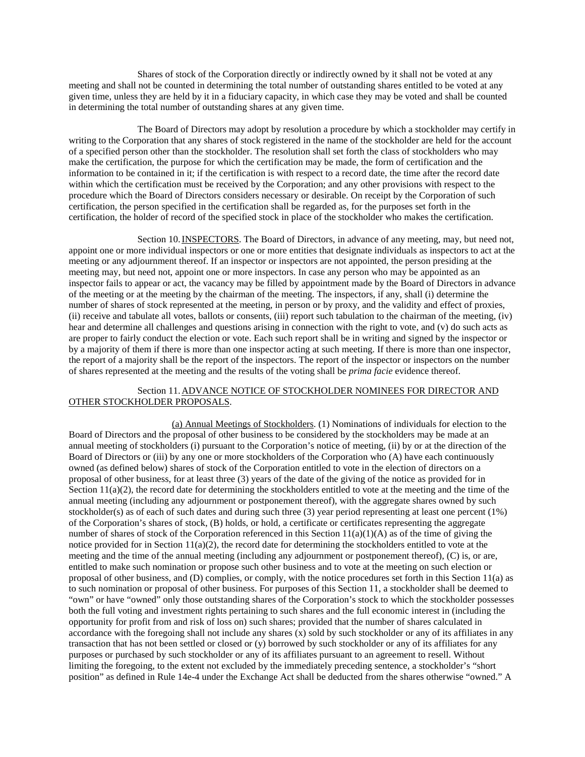Shares of stock of the Corporation directly or indirectly owned by it shall not be voted at any meeting and shall not be counted in determining the total number of outstanding shares entitled to be voted at any given time, unless they are held by it in a fiduciary capacity, in which case they may be voted and shall be counted in determining the total number of outstanding shares at any given time.

The Board of Directors may adopt by resolution a procedure by which a stockholder may certify in writing to the Corporation that any shares of stock registered in the name of the stockholder are held for the account of a specified person other than the stockholder. The resolution shall set forth the class of stockholders who may make the certification, the purpose for which the certification may be made, the form of certification and the information to be contained in it; if the certification is with respect to a record date, the time after the record date within which the certification must be received by the Corporation; and any other provisions with respect to the procedure which the Board of Directors considers necessary or desirable. On receipt by the Corporation of such certification, the person specified in the certification shall be regarded as, for the purposes set forth in the certification, the holder of record of the specified stock in place of the stockholder who makes the certification.

Section 10.INSPECTORS. The Board of Directors, in advance of any meeting, may, but need not, appoint one or more individual inspectors or one or more entities that designate individuals as inspectors to act at the meeting or any adjournment thereof. If an inspector or inspectors are not appointed, the person presiding at the meeting may, but need not, appoint one or more inspectors. In case any person who may be appointed as an inspector fails to appear or act, the vacancy may be filled by appointment made by the Board of Directors in advance of the meeting or at the meeting by the chairman of the meeting. The inspectors, if any, shall (i) determine the number of shares of stock represented at the meeting, in person or by proxy, and the validity and effect of proxies, (ii) receive and tabulate all votes, ballots or consents, (iii) report such tabulation to the chairman of the meeting, (iv) hear and determine all challenges and questions arising in connection with the right to vote, and (v) do such acts as are proper to fairly conduct the election or vote. Each such report shall be in writing and signed by the inspector or by a majority of them if there is more than one inspector acting at such meeting. If there is more than one inspector, the report of a majority shall be the report of the inspectors. The report of the inspector or inspectors on the number of shares represented at the meeting and the results of the voting shall be *prima facie* evidence thereof.

## Section 11.ADVANCE NOTICE OF STOCKHOLDER NOMINEES FOR DIRECTOR AND OTHER STOCKHOLDER PROPOSALS.

(a) Annual Meetings of Stockholders. (1) Nominations of individuals for election to the Board of Directors and the proposal of other business to be considered by the stockholders may be made at an annual meeting of stockholders (i) pursuant to the Corporation's notice of meeting, (ii) by or at the direction of the Board of Directors or (iii) by any one or more stockholders of the Corporation who (A) have each continuously owned (as defined below) shares of stock of the Corporation entitled to vote in the election of directors on a proposal of other business, for at least three (3) years of the date of the giving of the notice as provided for in Section  $11(a)(2)$ , the record date for determining the stockholders entitled to vote at the meeting and the time of the annual meeting (including any adjournment or postponement thereof), with the aggregate shares owned by such stockholder(s) as of each of such dates and during such three (3) year period representing at least one percent (1%) of the Corporation's shares of stock, (B) holds, or hold, a certificate or certificates representing the aggregate number of shares of stock of the Corporation referenced in this Section  $11(a)(1)(A)$  as of the time of giving the notice provided for in Section  $11(a)(2)$ , the record date for determining the stockholders entitled to vote at the meeting and the time of the annual meeting (including any adjournment or postponement thereof), (C) is, or are, entitled to make such nomination or propose such other business and to vote at the meeting on such election or proposal of other business, and (D) complies, or comply, with the notice procedures set forth in this Section 11(a) as to such nomination or proposal of other business. For purposes of this Section 11, a stockholder shall be deemed to "own" or have "owned" only those outstanding shares of the Corporation's stock to which the stockholder possesses both the full voting and investment rights pertaining to such shares and the full economic interest in (including the opportunity for profit from and risk of loss on) such shares; provided that the number of shares calculated in accordance with the foregoing shall not include any shares  $(x)$  sold by such stockholder or any of its affiliates in any transaction that has not been settled or closed or (y) borrowed by such stockholder or any of its affiliates for any purposes or purchased by such stockholder or any of its affiliates pursuant to an agreement to resell. Without limiting the foregoing, to the extent not excluded by the immediately preceding sentence, a stockholder's "short position" as defined in Rule 14e-4 under the Exchange Act shall be deducted from the shares otherwise "owned." A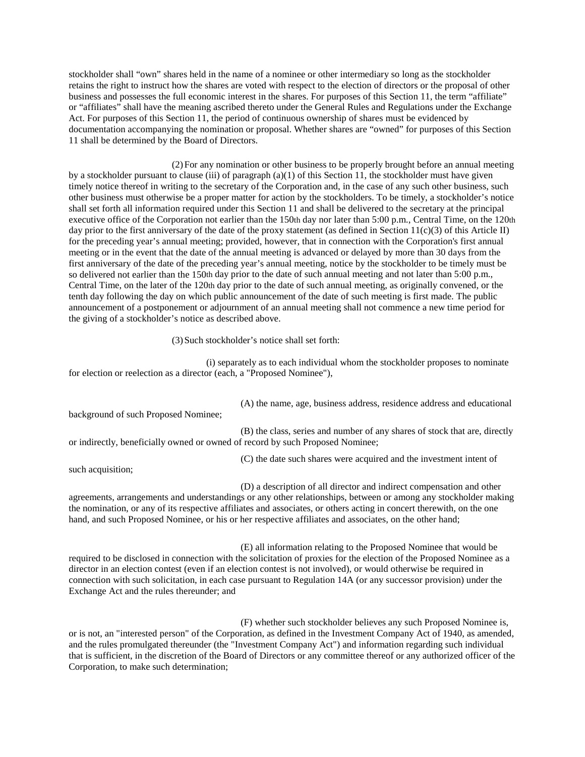stockholder shall "own" shares held in the name of a nominee or other intermediary so long as the stockholder retains the right to instruct how the shares are voted with respect to the election of directors or the proposal of other business and possesses the full economic interest in the shares. For purposes of this Section 11, the term "affiliate" or "affiliates" shall have the meaning ascribed thereto under the General Rules and Regulations under the Exchange Act. For purposes of this Section 11, the period of continuous ownership of shares must be evidenced by documentation accompanying the nomination or proposal. Whether shares are "owned" for purposes of this Section 11 shall be determined by the Board of Directors.

(2)For any nomination or other business to be properly brought before an annual meeting by a stockholder pursuant to clause (iii) of paragraph  $(a)(1)$  of this Section 11, the stockholder must have given timely notice thereof in writing to the secretary of the Corporation and, in the case of any such other business, such other business must otherwise be a proper matter for action by the stockholders. To be timely, a stockholder's notice shall set forth all information required under this Section 11 and shall be delivered to the secretary at the principal executive office of the Corporation not earlier than the 150th day nor later than 5:00 p.m., Central Time, on the 120th day prior to the first anniversary of the date of the proxy statement (as defined in Section 11(c)(3) of this Article II) for the preceding year's annual meeting; provided, however, that in connection with the Corporation's first annual meeting or in the event that the date of the annual meeting is advanced or delayed by more than 30 days from the first anniversary of the date of the preceding year's annual meeting, notice by the stockholder to be timely must be so delivered not earlier than the 150th day prior to the date of such annual meeting and not later than 5:00 p.m., Central Time, on the later of the 120th day prior to the date of such annual meeting, as originally convened, or the tenth day following the day on which public announcement of the date of such meeting is first made. The public announcement of a postponement or adjournment of an annual meeting shall not commence a new time period for the giving of a stockholder's notice as described above.

(3)Such stockholder's notice shall set forth:

(i) separately as to each individual whom the stockholder proposes to nominate for election or reelection as a director (each, a "Proposed Nominee"),

(A) the name, age, business address, residence address and educational

background of such Proposed Nominee;

(B) the class, series and number of any shares of stock that are, directly or indirectly, beneficially owned or owned of record by such Proposed Nominee;

(C) the date such shares were acquired and the investment intent of

such acquisition;

(D) a description of all director and indirect compensation and other agreements, arrangements and understandings or any other relationships, between or among any stockholder making the nomination, or any of its respective affiliates and associates, or others acting in concert therewith, on the one hand, and such Proposed Nominee, or his or her respective affiliates and associates, on the other hand;

(E) all information relating to the Proposed Nominee that would be required to be disclosed in connection with the solicitation of proxies for the election of the Proposed Nominee as a director in an election contest (even if an election contest is not involved), or would otherwise be required in connection with such solicitation, in each case pursuant to Regulation 14A (or any successor provision) under the Exchange Act and the rules thereunder; and

(F) whether such stockholder believes any such Proposed Nominee is, or is not, an "interested person" of the Corporation, as defined in the Investment Company Act of 1940, as amended, and the rules promulgated thereunder (the "Investment Company Act") and information regarding such individual that is sufficient, in the discretion of the Board of Directors or any committee thereof or any authorized officer of the Corporation, to make such determination;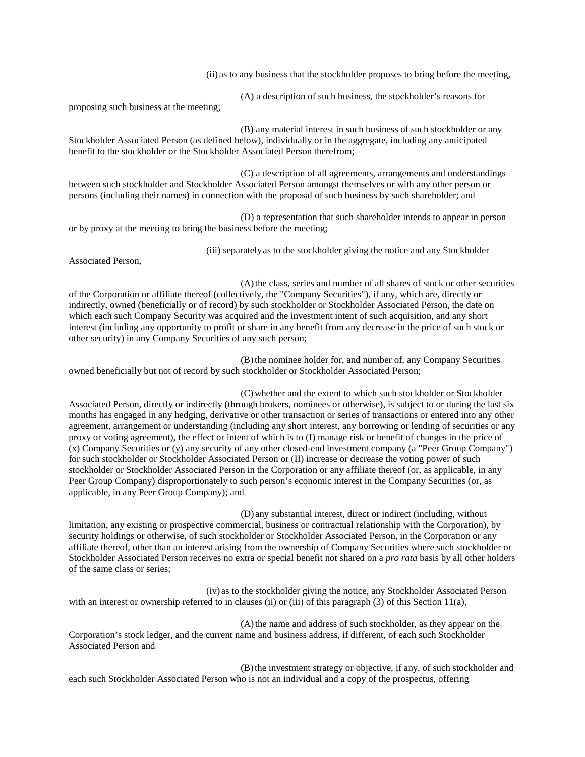(ii) as to any business that the stockholder proposes to bring before the meeting,

(A) a description of such business, the stockholder's reasons for

proposing such business at the meeting;

(B) any material interest in such business of such stockholder or any Stockholder Associated Person (as defined below), individually or in the aggregate, including any anticipated benefit to the stockholder or the Stockholder Associated Person therefrom;

(C) a description of all agreements, arrangements and understandings between such stockholder and Stockholder Associated Person amongst themselves or with any other person or persons (including their names) in connection with the proposal of such business by such shareholder; and

(D) a representation that such shareholder intends to appear in person or by proxy at the meeting to bring the business before the meeting;

(iii) separatelyas to the stockholder giving the notice and any Stockholder

Associated Person,

(A)the class, series and number of all shares of stock or other securities of the Corporation or affiliate thereof (collectively, the "Company Securities"), if any, which are, directly or indirectly, owned (beneficially or of record) by such stockholder or Stockholder Associated Person, the date on which each such Company Security was acquired and the investment intent of such acquisition, and any short interest (including any opportunity to profit or share in any benefit from any decrease in the price of such stock or other security) in any Company Securities of any such person;

(B)the nominee holder for, and number of, any Company Securities owned beneficially but not of record by such stockholder or Stockholder Associated Person;

(C) whether and the extent to which such stockholder or Stockholder Associated Person, directly or indirectly (through brokers, nominees or otherwise), is subject to or during the last six months has engaged in any hedging, derivative or other transaction or series of transactions or entered into any other agreement, arrangement or understanding (including any short interest, any borrowing or lending of securities or any proxy or voting agreement), the effect or intent of which is to (I) manage risk or benefit of changes in the price of (x) Company Securities or (y) any security of any other closed-end investment company (a "Peer Group Company") for such stockholder or Stockholder Associated Person or (II) increase or decrease the voting power of such stockholder or Stockholder Associated Person in the Corporation or any affiliate thereof (or, as applicable, in any Peer Group Company) disproportionately to such person's economic interest in the Company Securities (or, as applicable, in any Peer Group Company); and

(D) any substantial interest, direct or indirect (including, without limitation, any existing or prospective commercial, business or contractual relationship with the Corporation), by security holdings or otherwise, of such stockholder or Stockholder Associated Person, in the Corporation or any affiliate thereof, other than an interest arising from the ownership of Company Securities where such stockholder or Stockholder Associated Person receives no extra or special benefit not shared on a *pro rata* basis by all other holders of the same class or series;

(iv) as to the stockholder giving the notice, any Stockholder Associated Person with an interest or ownership referred to in clauses (ii) or (iii) of this paragraph (3) of this Section 11(a),

(A)the name and address of such stockholder, as they appear on the Corporation's stock ledger, and the current name and business address, if different, of each such Stockholder Associated Person and

(B)the investment strategy or objective, if any, of such stockholder and each such Stockholder Associated Person who is not an individual and a copy of the prospectus, offering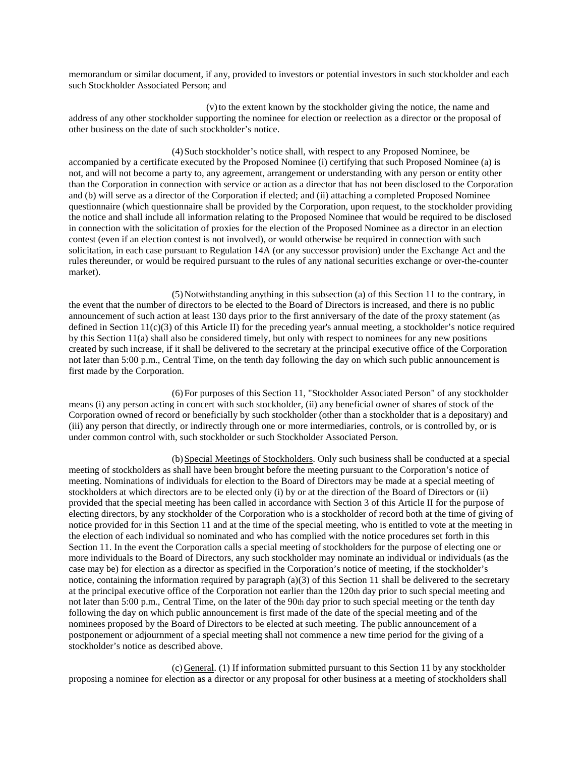memorandum or similar document, if any, provided to investors or potential investors in such stockholder and each such Stockholder Associated Person; and

(v)to the extent known by the stockholder giving the notice, the name and address of any other stockholder supporting the nominee for election or reelection as a director or the proposal of other business on the date of such stockholder's notice.

(4)Such stockholder's notice shall, with respect to any Proposed Nominee, be accompanied by a certificate executed by the Proposed Nominee (i) certifying that such Proposed Nominee (a) is not, and will not become a party to, any agreement, arrangement or understanding with any person or entity other than the Corporation in connection with service or action as a director that has not been disclosed to the Corporation and (b) will serve as a director of the Corporation if elected; and (ii) attaching a completed Proposed Nominee questionnaire (which questionnaire shall be provided by the Corporation, upon request, to the stockholder providing the notice and shall include all information relating to the Proposed Nominee that would be required to be disclosed in connection with the solicitation of proxies for the election of the Proposed Nominee as a director in an election contest (even if an election contest is not involved), or would otherwise be required in connection with such solicitation, in each case pursuant to Regulation 14A (or any successor provision) under the Exchange Act and the rules thereunder, or would be required pursuant to the rules of any national securities exchange or over-the-counter market).

(5)Notwithstanding anything in this subsection (a) of this Section 11 to the contrary, in the event that the number of directors to be elected to the Board of Directors is increased, and there is no public announcement of such action at least 130 days prior to the first anniversary of the date of the proxy statement (as defined in Section  $11(c)(3)$  of this Article II) for the preceding year's annual meeting, a stockholder's notice required by this Section 11(a) shall also be considered timely, but only with respect to nominees for any new positions created by such increase, if it shall be delivered to the secretary at the principal executive office of the Corporation not later than 5:00 p.m., Central Time, on the tenth day following the day on which such public announcement is first made by the Corporation.

(6)For purposes of this Section 11, "Stockholder Associated Person" of any stockholder means (i) any person acting in concert with such stockholder, (ii) any beneficial owner of shares of stock of the Corporation owned of record or beneficially by such stockholder (other than a stockholder that is a depositary) and (iii) any person that directly, or indirectly through one or more intermediaries, controls, or is controlled by, or is under common control with, such stockholder or such Stockholder Associated Person.

(b)Special Meetings of Stockholders. Only such business shall be conducted at a special meeting of stockholders as shall have been brought before the meeting pursuant to the Corporation's notice of meeting. Nominations of individuals for election to the Board of Directors may be made at a special meeting of stockholders at which directors are to be elected only (i) by or at the direction of the Board of Directors or (ii) provided that the special meeting has been called in accordance with Section 3 of this Article II for the purpose of electing directors, by any stockholder of the Corporation who is a stockholder of record both at the time of giving of notice provided for in this Section 11 and at the time of the special meeting, who is entitled to vote at the meeting in the election of each individual so nominated and who has complied with the notice procedures set forth in this Section 11. In the event the Corporation calls a special meeting of stockholders for the purpose of electing one or more individuals to the Board of Directors, any such stockholder may nominate an individual or individuals (as the case may be) for election as a director as specified in the Corporation's notice of meeting, if the stockholder's notice, containing the information required by paragraph  $(a)(3)$  of this Section 11 shall be delivered to the secretary at the principal executive office of the Corporation not earlier than the 120th day prior to such special meeting and not later than 5:00 p.m., Central Time, on the later of the 90th day prior to such special meeting or the tenth day following the day on which public announcement is first made of the date of the special meeting and of the nominees proposed by the Board of Directors to be elected at such meeting. The public announcement of a postponement or adjournment of a special meeting shall not commence a new time period for the giving of a stockholder's notice as described above.

(c)General. (1) If information submitted pursuant to this Section 11 by any stockholder proposing a nominee for election as a director or any proposal for other business at a meeting of stockholders shall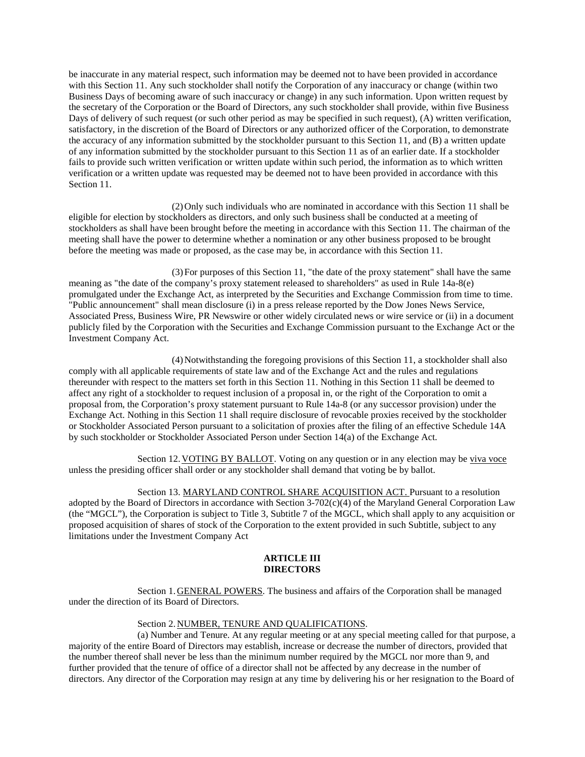be inaccurate in any material respect, such information may be deemed not to have been provided in accordance with this Section 11. Any such stockholder shall notify the Corporation of any inaccuracy or change (within two Business Days of becoming aware of such inaccuracy or change) in any such information. Upon written request by the secretary of the Corporation or the Board of Directors, any such stockholder shall provide, within five Business Days of delivery of such request (or such other period as may be specified in such request), (A) written verification, satisfactory, in the discretion of the Board of Directors or any authorized officer of the Corporation, to demonstrate the accuracy of any information submitted by the stockholder pursuant to this Section 11, and (B) a written update of any information submitted by the stockholder pursuant to this Section 11 as of an earlier date. If a stockholder fails to provide such written verification or written update within such period, the information as to which written verification or a written update was requested may be deemed not to have been provided in accordance with this Section 11.

(2)Only such individuals who are nominated in accordance with this Section 11 shall be eligible for election by stockholders as directors, and only such business shall be conducted at a meeting of stockholders as shall have been brought before the meeting in accordance with this Section 11. The chairman of the meeting shall have the power to determine whether a nomination or any other business proposed to be brought before the meeting was made or proposed, as the case may be, in accordance with this Section 11.

(3)For purposes of this Section 11, "the date of the proxy statement" shall have the same meaning as "the date of the company's proxy statement released to shareholders" as used in Rule 14a-8(e) promulgated under the Exchange Act, as interpreted by the Securities and Exchange Commission from time to time. "Public announcement" shall mean disclosure (i) in a press release reported by the Dow Jones News Service, Associated Press, Business Wire, PR Newswire or other widely circulated news or wire service or (ii) in a document publicly filed by the Corporation with the Securities and Exchange Commission pursuant to the Exchange Act or the Investment Company Act.

(4)Notwithstanding the foregoing provisions of this Section 11, a stockholder shall also comply with all applicable requirements of state law and of the Exchange Act and the rules and regulations thereunder with respect to the matters set forth in this Section 11. Nothing in this Section 11 shall be deemed to affect any right of a stockholder to request inclusion of a proposal in, or the right of the Corporation to omit a proposal from, the Corporation's proxy statement pursuant to Rule 14a-8 (or any successor provision) under the Exchange Act. Nothing in this Section 11 shall require disclosure of revocable proxies received by the stockholder or Stockholder Associated Person pursuant to a solicitation of proxies after the filing of an effective Schedule 14A by such stockholder or Stockholder Associated Person under Section 14(a) of the Exchange Act.

Section 12.VOTING BY BALLOT. Voting on any question or in any election may be viva voce unless the presiding officer shall order or any stockholder shall demand that voting be by ballot.

Section 13. MARYLAND CONTROL SHARE ACQUISITION ACT. Pursuant to a resolution adopted by the Board of Directors in accordance with Section 3-702(c)(4) of the Maryland General Corporation Law (the "MGCL"), the Corporation is subject to Title 3, Subtitle 7 of the MGCL, which shall apply to any acquisition or proposed acquisition of shares of stock of the Corporation to the extent provided in such Subtitle, subject to any limitations under the Investment Company Act

#### **ARTICLE III DIRECTORS**

Section 1.GENERAL POWERS. The business and affairs of the Corporation shall be managed under the direction of its Board of Directors.

Section 2.NUMBER, TENURE AND QUALIFICATIONS.

(a) Number and Tenure. At any regular meeting or at any special meeting called for that purpose, a majority of the entire Board of Directors may establish, increase or decrease the number of directors, provided that the number thereof shall never be less than the minimum number required by the MGCL nor more than 9, and further provided that the tenure of office of a director shall not be affected by any decrease in the number of directors. Any director of the Corporation may resign at any time by delivering his or her resignation to the Board of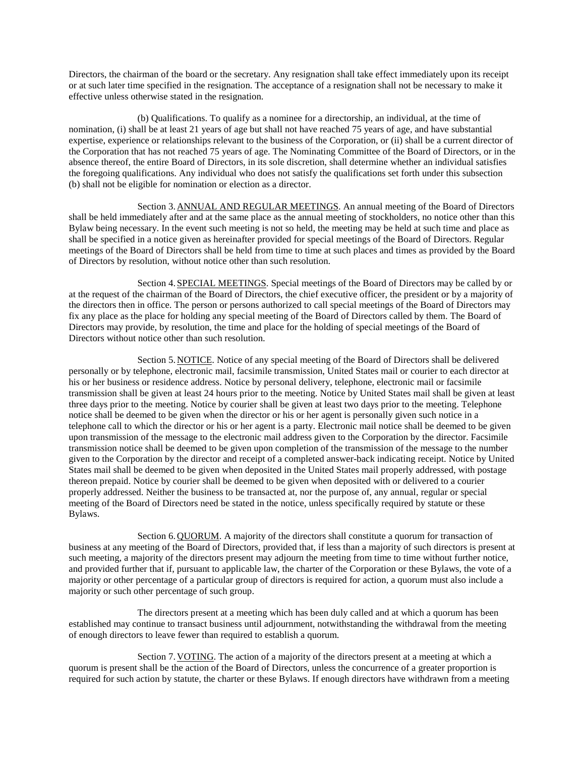Directors, the chairman of the board or the secretary. Any resignation shall take effect immediately upon its receipt or at such later time specified in the resignation. The acceptance of a resignation shall not be necessary to make it effective unless otherwise stated in the resignation.

(b) Qualifications. To qualify as a nominee for a directorship, an individual, at the time of nomination, (i) shall be at least 21 years of age but shall not have reached 75 years of age, and have substantial expertise, experience or relationships relevant to the business of the Corporation, or (ii) shall be a current director of the Corporation that has not reached 75 years of age. The Nominating Committee of the Board of Directors, or in the absence thereof, the entire Board of Directors, in its sole discretion, shall determine whether an individual satisfies the foregoing qualifications. Any individual who does not satisfy the qualifications set forth under this subsection (b) shall not be eligible for nomination or election as a director.

Section 3.ANNUAL AND REGULAR MEETINGS. An annual meeting of the Board of Directors shall be held immediately after and at the same place as the annual meeting of stockholders, no notice other than this Bylaw being necessary. In the event such meeting is not so held, the meeting may be held at such time and place as shall be specified in a notice given as hereinafter provided for special meetings of the Board of Directors. Regular meetings of the Board of Directors shall be held from time to time at such places and times as provided by the Board of Directors by resolution, without notice other than such resolution.

Section 4.SPECIAL MEETINGS. Special meetings of the Board of Directors may be called by or at the request of the chairman of the Board of Directors, the chief executive officer, the president or by a majority of the directors then in office. The person or persons authorized to call special meetings of the Board of Directors may fix any place as the place for holding any special meeting of the Board of Directors called by them. The Board of Directors may provide, by resolution, the time and place for the holding of special meetings of the Board of Directors without notice other than such resolution.

Section 5.NOTICE. Notice of any special meeting of the Board of Directors shall be delivered personally or by telephone, electronic mail, facsimile transmission, United States mail or courier to each director at his or her business or residence address. Notice by personal delivery, telephone, electronic mail or facsimile transmission shall be given at least 24 hours prior to the meeting. Notice by United States mail shall be given at least three days prior to the meeting. Notice by courier shall be given at least two days prior to the meeting. Telephone notice shall be deemed to be given when the director or his or her agent is personally given such notice in a telephone call to which the director or his or her agent is a party. Electronic mail notice shall be deemed to be given upon transmission of the message to the electronic mail address given to the Corporation by the director. Facsimile transmission notice shall be deemed to be given upon completion of the transmission of the message to the number given to the Corporation by the director and receipt of a completed answer-back indicating receipt. Notice by United States mail shall be deemed to be given when deposited in the United States mail properly addressed, with postage thereon prepaid. Notice by courier shall be deemed to be given when deposited with or delivered to a courier properly addressed. Neither the business to be transacted at, nor the purpose of, any annual, regular or special meeting of the Board of Directors need be stated in the notice, unless specifically required by statute or these Bylaws.

Section 6. QUORUM. A majority of the directors shall constitute a quorum for transaction of business at any meeting of the Board of Directors, provided that, if less than a majority of such directors is present at such meeting, a majority of the directors present may adjourn the meeting from time to time without further notice, and provided further that if, pursuant to applicable law, the charter of the Corporation or these Bylaws, the vote of a majority or other percentage of a particular group of directors is required for action, a quorum must also include a majority or such other percentage of such group.

The directors present at a meeting which has been duly called and at which a quorum has been established may continue to transact business until adjournment, notwithstanding the withdrawal from the meeting of enough directors to leave fewer than required to establish a quorum.

Section 7. VOTING. The action of a majority of the directors present at a meeting at which a quorum is present shall be the action of the Board of Directors, unless the concurrence of a greater proportion is required for such action by statute, the charter or these Bylaws. If enough directors have withdrawn from a meeting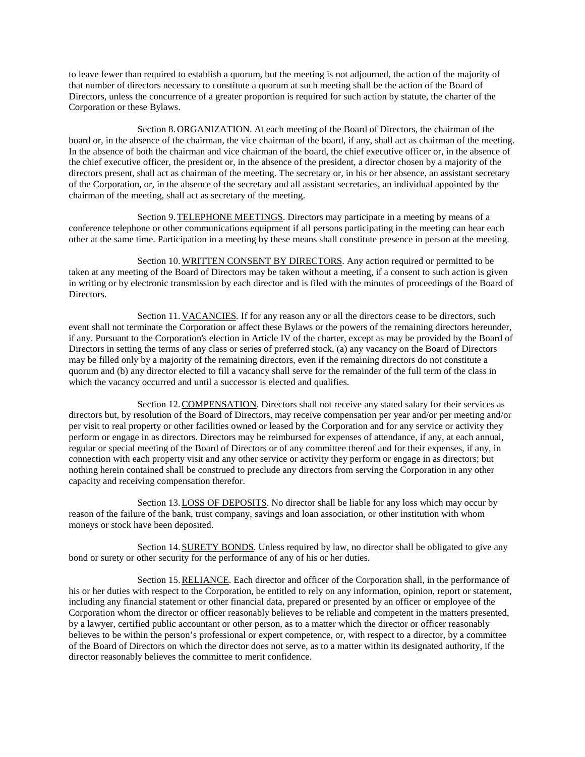to leave fewer than required to establish a quorum, but the meeting is not adjourned, the action of the majority of that number of directors necessary to constitute a quorum at such meeting shall be the action of the Board of Directors, unless the concurrence of a greater proportion is required for such action by statute, the charter of the Corporation or these Bylaws.

Section 8.ORGANIZATION. At each meeting of the Board of Directors, the chairman of the board or, in the absence of the chairman, the vice chairman of the board, if any, shall act as chairman of the meeting. In the absence of both the chairman and vice chairman of the board, the chief executive officer or, in the absence of the chief executive officer, the president or, in the absence of the president, a director chosen by a majority of the directors present, shall act as chairman of the meeting. The secretary or, in his or her absence, an assistant secretary of the Corporation, or, in the absence of the secretary and all assistant secretaries, an individual appointed by the chairman of the meeting, shall act as secretary of the meeting.

Section 9.TELEPHONE MEETINGS. Directors may participate in a meeting by means of a conference telephone or other communications equipment if all persons participating in the meeting can hear each other at the same time. Participation in a meeting by these means shall constitute presence in person at the meeting.

Section 10. WRITTEN CONSENT BY DIRECTORS. Any action required or permitted to be taken at any meeting of the Board of Directors may be taken without a meeting, if a consent to such action is given in writing or by electronic transmission by each director and is filed with the minutes of proceedings of the Board of Directors.

Section 11.VACANCIES*.* If for any reason any or all the directors cease to be directors, such event shall not terminate the Corporation or affect these Bylaws or the powers of the remaining directors hereunder, if any. Pursuant to the Corporation's election in Article IV of the charter, except as may be provided by the Board of Directors in setting the terms of any class or series of preferred stock, (a) any vacancy on the Board of Directors may be filled only by a majority of the remaining directors, even if the remaining directors do not constitute a quorum and (b) any director elected to fill a vacancy shall serve for the remainder of the full term of the class in which the vacancy occurred and until a successor is elected and qualifies.

Section 12.COMPENSATION. Directors shall not receive any stated salary for their services as directors but, by resolution of the Board of Directors, may receive compensation per year and/or per meeting and/or per visit to real property or other facilities owned or leased by the Corporation and for any service or activity they perform or engage in as directors. Directors may be reimbursed for expenses of attendance, if any, at each annual, regular or special meeting of the Board of Directors or of any committee thereof and for their expenses, if any, in connection with each property visit and any other service or activity they perform or engage in as directors; but nothing herein contained shall be construed to preclude any directors from serving the Corporation in any other capacity and receiving compensation therefor.

Section 13.LOSS OF DEPOSITS. No director shall be liable for any loss which may occur by reason of the failure of the bank, trust company, savings and loan association, or other institution with whom moneys or stock have been deposited.

Section 14. SURETY BONDS. Unless required by law, no director shall be obligated to give any bond or surety or other security for the performance of any of his or her duties.

Section 15.RELIANCE. Each director and officer of the Corporation shall, in the performance of his or her duties with respect to the Corporation, be entitled to rely on any information, opinion, report or statement, including any financial statement or other financial data, prepared or presented by an officer or employee of the Corporation whom the director or officer reasonably believes to be reliable and competent in the matters presented, by a lawyer, certified public accountant or other person, as to a matter which the director or officer reasonably believes to be within the person's professional or expert competence, or, with respect to a director, by a committee of the Board of Directors on which the director does not serve, as to a matter within its designated authority, if the director reasonably believes the committee to merit confidence.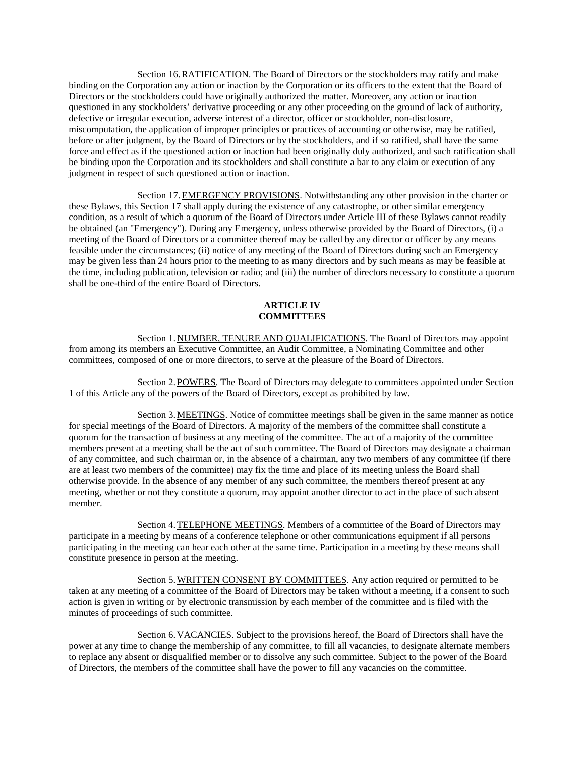Section 16.RATIFICATION. The Board of Directors or the stockholders may ratify and make binding on the Corporation any action or inaction by the Corporation or its officers to the extent that the Board of Directors or the stockholders could have originally authorized the matter. Moreover, any action or inaction questioned in any stockholders' derivative proceeding or any other proceeding on the ground of lack of authority, defective or irregular execution, adverse interest of a director, officer or stockholder, non-disclosure, miscomputation, the application of improper principles or practices of accounting or otherwise, may be ratified, before or after judgment, by the Board of Directors or by the stockholders, and if so ratified, shall have the same force and effect as if the questioned action or inaction had been originally duly authorized, and such ratification shall be binding upon the Corporation and its stockholders and shall constitute a bar to any claim or execution of any judgment in respect of such questioned action or inaction.

Section 17.EMERGENCY PROVISIONS. Notwithstanding any other provision in the charter or these Bylaws, this Section 17 shall apply during the existence of any catastrophe, or other similar emergency condition, as a result of which a quorum of the Board of Directors under Article III of these Bylaws cannot readily be obtained (an "Emergency"). During any Emergency, unless otherwise provided by the Board of Directors, (i) a meeting of the Board of Directors or a committee thereof may be called by any director or officer by any means feasible under the circumstances; (ii) notice of any meeting of the Board of Directors during such an Emergency may be given less than 24 hours prior to the meeting to as many directors and by such means as may be feasible at the time, including publication, television or radio; and (iii) the number of directors necessary to constitute a quorum shall be one-third of the entire Board of Directors.

### **ARTICLE IV COMMITTEES**

Section 1.NUMBER, TENURE AND QUALIFICATIONS. The Board of Directors may appoint from among its members an Executive Committee, an Audit Committee, a Nominating Committee and other committees, composed of one or more directors, to serve at the pleasure of the Board of Directors.

Section 2.POWERS. The Board of Directors may delegate to committees appointed under Section 1 of this Article any of the powers of the Board of Directors, except as prohibited by law.

Section 3.MEETINGS. Notice of committee meetings shall be given in the same manner as notice for special meetings of the Board of Directors. A majority of the members of the committee shall constitute a quorum for the transaction of business at any meeting of the committee. The act of a majority of the committee members present at a meeting shall be the act of such committee. The Board of Directors may designate a chairman of any committee, and such chairman or, in the absence of a chairman, any two members of any committee (if there are at least two members of the committee) may fix the time and place of its meeting unless the Board shall otherwise provide. In the absence of any member of any such committee, the members thereof present at any meeting, whether or not they constitute a quorum, may appoint another director to act in the place of such absent member.

Section 4.TELEPHONE MEETINGS. Members of a committee of the Board of Directors may participate in a meeting by means of a conference telephone or other communications equipment if all persons participating in the meeting can hear each other at the same time. Participation in a meeting by these means shall constitute presence in person at the meeting.

Section 5.WRITTEN CONSENT BY COMMITTEES. Any action required or permitted to be taken at any meeting of a committee of the Board of Directors may be taken without a meeting, if a consent to such action is given in writing or by electronic transmission by each member of the committee and is filed with the minutes of proceedings of such committee.

Section 6.VACANCIES. Subject to the provisions hereof, the Board of Directors shall have the power at any time to change the membership of any committee, to fill all vacancies, to designate alternate members to replace any absent or disqualified member or to dissolve any such committee. Subject to the power of the Board of Directors, the members of the committee shall have the power to fill any vacancies on the committee.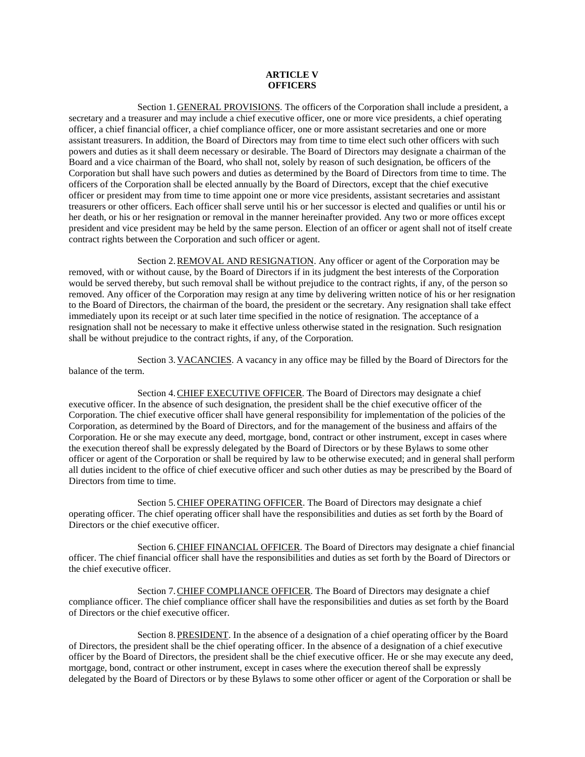## **ARTICLE V OFFICERS**

Section 1.GENERAL PROVISIONS. The officers of the Corporation shall include a president, a secretary and a treasurer and may include a chief executive officer, one or more vice presidents, a chief operating officer, a chief financial officer, a chief compliance officer, one or more assistant secretaries and one or more assistant treasurers. In addition, the Board of Directors may from time to time elect such other officers with such powers and duties as it shall deem necessary or desirable. The Board of Directors may designate a chairman of the Board and a vice chairman of the Board, who shall not, solely by reason of such designation, be officers of the Corporation but shall have such powers and duties as determined by the Board of Directors from time to time. The officers of the Corporation shall be elected annually by the Board of Directors, except that the chief executive officer or president may from time to time appoint one or more vice presidents, assistant secretaries and assistant treasurers or other officers. Each officer shall serve until his or her successor is elected and qualifies or until his or her death, or his or her resignation or removal in the manner hereinafter provided. Any two or more offices except president and vice president may be held by the same person. Election of an officer or agent shall not of itself create contract rights between the Corporation and such officer or agent.

Section 2.REMOVAL AND RESIGNATION. Any officer or agent of the Corporation may be removed, with or without cause, by the Board of Directors if in its judgment the best interests of the Corporation would be served thereby, but such removal shall be without prejudice to the contract rights, if any, of the person so removed. Any officer of the Corporation may resign at any time by delivering written notice of his or her resignation to the Board of Directors, the chairman of the board, the president or the secretary. Any resignation shall take effect immediately upon its receipt or at such later time specified in the notice of resignation. The acceptance of a resignation shall not be necessary to make it effective unless otherwise stated in the resignation. Such resignation shall be without prejudice to the contract rights, if any, of the Corporation.

Section 3.VACANCIES. A vacancy in any office may be filled by the Board of Directors for the balance of the term.

Section 4.CHIEF EXECUTIVE OFFICER. The Board of Directors may designate a chief executive officer. In the absence of such designation, the president shall be the chief executive officer of the Corporation. The chief executive officer shall have general responsibility for implementation of the policies of the Corporation, as determined by the Board of Directors, and for the management of the business and affairs of the Corporation. He or she may execute any deed, mortgage, bond, contract or other instrument, except in cases where the execution thereof shall be expressly delegated by the Board of Directors or by these Bylaws to some other officer or agent of the Corporation or shall be required by law to be otherwise executed; and in general shall perform all duties incident to the office of chief executive officer and such other duties as may be prescribed by the Board of Directors from time to time.

Section 5.CHIEF OPERATING OFFICER. The Board of Directors may designate a chief operating officer. The chief operating officer shall have the responsibilities and duties as set forth by the Board of Directors or the chief executive officer.

Section 6.CHIEF FINANCIAL OFFICER. The Board of Directors may designate a chief financial officer. The chief financial officer shall have the responsibilities and duties as set forth by the Board of Directors or the chief executive officer.

Section 7. CHIEF COMPLIANCE OFFICER. The Board of Directors may designate a chief compliance officer. The chief compliance officer shall have the responsibilities and duties as set forth by the Board of Directors or the chief executive officer.

Section 8.PRESIDENT. In the absence of a designation of a chief operating officer by the Board of Directors, the president shall be the chief operating officer. In the absence of a designation of a chief executive officer by the Board of Directors, the president shall be the chief executive officer. He or she may execute any deed, mortgage, bond, contract or other instrument, except in cases where the execution thereof shall be expressly delegated by the Board of Directors or by these Bylaws to some other officer or agent of the Corporation or shall be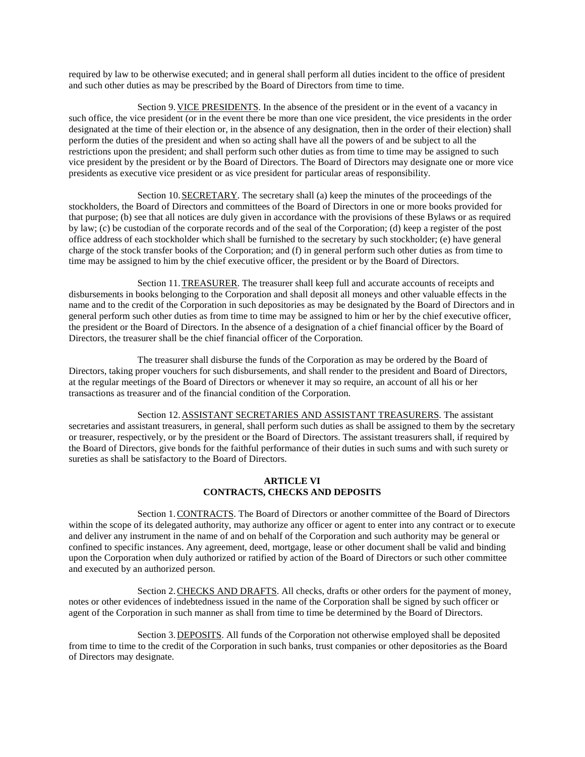required by law to be otherwise executed; and in general shall perform all duties incident to the office of president and such other duties as may be prescribed by the Board of Directors from time to time.

Section 9.VICE PRESIDENTS. In the absence of the president or in the event of a vacancy in such office, the vice president (or in the event there be more than one vice president, the vice presidents in the order designated at the time of their election or, in the absence of any designation, then in the order of their election) shall perform the duties of the president and when so acting shall have all the powers of and be subject to all the restrictions upon the president; and shall perform such other duties as from time to time may be assigned to such vice president by the president or by the Board of Directors. The Board of Directors may designate one or more vice presidents as executive vice president or as vice president for particular areas of responsibility.

Section 10.SECRETARY. The secretary shall (a) keep the minutes of the proceedings of the stockholders, the Board of Directors and committees of the Board of Directors in one or more books provided for that purpose; (b) see that all notices are duly given in accordance with the provisions of these Bylaws or as required by law; (c) be custodian of the corporate records and of the seal of the Corporation; (d) keep a register of the post office address of each stockholder which shall be furnished to the secretary by such stockholder; (e) have general charge of the stock transfer books of the Corporation; and (f) in general perform such other duties as from time to time may be assigned to him by the chief executive officer, the president or by the Board of Directors.

Section 11.TREASURER. The treasurer shall keep full and accurate accounts of receipts and disbursements in books belonging to the Corporation and shall deposit all moneys and other valuable effects in the name and to the credit of the Corporation in such depositories as may be designated by the Board of Directors and in general perform such other duties as from time to time may be assigned to him or her by the chief executive officer, the president or the Board of Directors. In the absence of a designation of a chief financial officer by the Board of Directors, the treasurer shall be the chief financial officer of the Corporation.

The treasurer shall disburse the funds of the Corporation as may be ordered by the Board of Directors, taking proper vouchers for such disbursements, and shall render to the president and Board of Directors, at the regular meetings of the Board of Directors or whenever it may so require, an account of all his or her transactions as treasurer and of the financial condition of the Corporation.

Section 12.ASSISTANT SECRETARIES AND ASSISTANT TREASURERS. The assistant secretaries and assistant treasurers, in general, shall perform such duties as shall be assigned to them by the secretary or treasurer, respectively, or by the president or the Board of Directors. The assistant treasurers shall, if required by the Board of Directors, give bonds for the faithful performance of their duties in such sums and with such surety or sureties as shall be satisfactory to the Board of Directors.

## **ARTICLE VI CONTRACTS, CHECKS AND DEPOSITS**

Section 1.CONTRACTS. The Board of Directors or another committee of the Board of Directors within the scope of its delegated authority, may authorize any officer or agent to enter into any contract or to execute and deliver any instrument in the name of and on behalf of the Corporation and such authority may be general or confined to specific instances. Any agreement, deed, mortgage, lease or other document shall be valid and binding upon the Corporation when duly authorized or ratified by action of the Board of Directors or such other committee and executed by an authorized person.

Section 2.CHECKS AND DRAFTS. All checks, drafts or other orders for the payment of money, notes or other evidences of indebtedness issued in the name of the Corporation shall be signed by such officer or agent of the Corporation in such manner as shall from time to time be determined by the Board of Directors.

Section 3.DEPOSITS. All funds of the Corporation not otherwise employed shall be deposited from time to time to the credit of the Corporation in such banks, trust companies or other depositories as the Board of Directors may designate.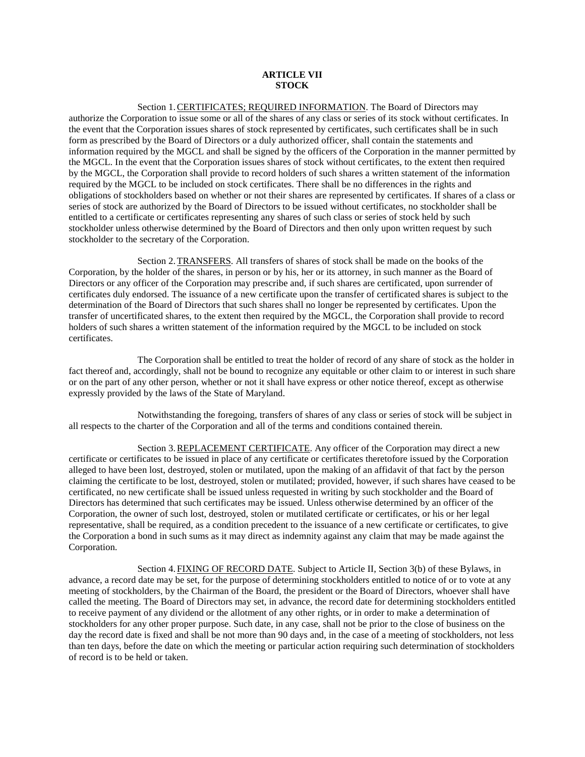## **ARTICLE VII STOCK**

Section 1. CERTIFICATES; REQUIRED INFORMATION. The Board of Directors may authorize the Corporation to issue some or all of the shares of any class or series of its stock without certificates. In the event that the Corporation issues shares of stock represented by certificates, such certificates shall be in such form as prescribed by the Board of Directors or a duly authorized officer, shall contain the statements and information required by the MGCL and shall be signed by the officers of the Corporation in the manner permitted by the MGCL. In the event that the Corporation issues shares of stock without certificates, to the extent then required by the MGCL, the Corporation shall provide to record holders of such shares a written statement of the information required by the MGCL to be included on stock certificates. There shall be no differences in the rights and obligations of stockholders based on whether or not their shares are represented by certificates. If shares of a class or series of stock are authorized by the Board of Directors to be issued without certificates, no stockholder shall be entitled to a certificate or certificates representing any shares of such class or series of stock held by such stockholder unless otherwise determined by the Board of Directors and then only upon written request by such stockholder to the secretary of the Corporation.

Section 2.TRANSFERS. All transfers of shares of stock shall be made on the books of the Corporation, by the holder of the shares, in person or by his, her or its attorney, in such manner as the Board of Directors or any officer of the Corporation may prescribe and, if such shares are certificated, upon surrender of certificates duly endorsed. The issuance of a new certificate upon the transfer of certificated shares is subject to the determination of the Board of Directors that such shares shall no longer be represented by certificates. Upon the transfer of uncertificated shares, to the extent then required by the MGCL, the Corporation shall provide to record holders of such shares a written statement of the information required by the MGCL to be included on stock certificates.

The Corporation shall be entitled to treat the holder of record of any share of stock as the holder in fact thereof and, accordingly, shall not be bound to recognize any equitable or other claim to or interest in such share or on the part of any other person, whether or not it shall have express or other notice thereof, except as otherwise expressly provided by the laws of the State of Maryland.

Notwithstanding the foregoing, transfers of shares of any class or series of stock will be subject in all respects to the charter of the Corporation and all of the terms and conditions contained therein.

Section 3.REPLACEMENT CERTIFICATE. Any officer of the Corporation may direct a new certificate or certificates to be issued in place of any certificate or certificates theretofore issued by the Corporation alleged to have been lost, destroyed, stolen or mutilated, upon the making of an affidavit of that fact by the person claiming the certificate to be lost, destroyed, stolen or mutilated; provided, however, if such shares have ceased to be certificated, no new certificate shall be issued unless requested in writing by such stockholder and the Board of Directors has determined that such certificates may be issued. Unless otherwise determined by an officer of the Corporation, the owner of such lost, destroyed, stolen or mutilated certificate or certificates, or his or her legal representative, shall be required, as a condition precedent to the issuance of a new certificate or certificates, to give the Corporation a bond in such sums as it may direct as indemnity against any claim that may be made against the Corporation.

Section 4.FIXING OF RECORD DATE. Subject to Article II, Section 3(b) of these Bylaws, in advance, a record date may be set, for the purpose of determining stockholders entitled to notice of or to vote at any meeting of stockholders, by the Chairman of the Board, the president or the Board of Directors, whoever shall have called the meeting. The Board of Directors may set, in advance, the record date for determining stockholders entitled to receive payment of any dividend or the allotment of any other rights, or in order to make a determination of stockholders for any other proper purpose. Such date, in any case, shall not be prior to the close of business on the day the record date is fixed and shall be not more than 90 days and, in the case of a meeting of stockholders, not less than ten days, before the date on which the meeting or particular action requiring such determination of stockholders of record is to be held or taken.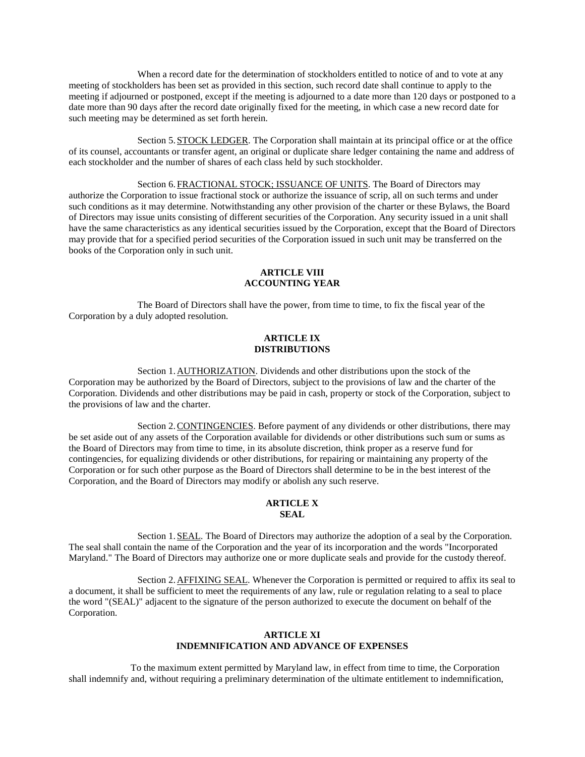When a record date for the determination of stockholders entitled to notice of and to vote at any meeting of stockholders has been set as provided in this section, such record date shall continue to apply to the meeting if adjourned or postponed, except if the meeting is adjourned to a date more than 120 days or postponed to a date more than 90 days after the record date originally fixed for the meeting, in which case a new record date for such meeting may be determined as set forth herein.

Section 5.STOCK LEDGER. The Corporation shall maintain at its principal office or at the office of its counsel, accountants or transfer agent, an original or duplicate share ledger containing the name and address of each stockholder and the number of shares of each class held by such stockholder.

Section 6.FRACTIONAL STOCK; ISSUANCE OF UNITS. The Board of Directors may authorize the Corporation to issue fractional stock or authorize the issuance of scrip, all on such terms and under such conditions as it may determine. Notwithstanding any other provision of the charter or these Bylaws, the Board of Directors may issue units consisting of different securities of the Corporation. Any security issued in a unit shall have the same characteristics as any identical securities issued by the Corporation, except that the Board of Directors may provide that for a specified period securities of the Corporation issued in such unit may be transferred on the books of the Corporation only in such unit.

## **ARTICLE VIII ACCOUNTING YEAR**

The Board of Directors shall have the power, from time to time, to fix the fiscal year of the Corporation by a duly adopted resolution.

### **ARTICLE IX DISTRIBUTIONS**

Section 1.AUTHORIZATION. Dividends and other distributions upon the stock of the Corporation may be authorized by the Board of Directors, subject to the provisions of law and the charter of the Corporation. Dividends and other distributions may be paid in cash, property or stock of the Corporation, subject to the provisions of law and the charter.

Section 2.CONTINGENCIES. Before payment of any dividends or other distributions, there may be set aside out of any assets of the Corporation available for dividends or other distributions such sum or sums as the Board of Directors may from time to time, in its absolute discretion, think proper as a reserve fund for contingencies, for equalizing dividends or other distributions, for repairing or maintaining any property of the Corporation or for such other purpose as the Board of Directors shall determine to be in the best interest of the Corporation, and the Board of Directors may modify or abolish any such reserve.

### **ARTICLE X SEAL**

Section 1. SEAL. The Board of Directors may authorize the adoption of a seal by the Corporation. The seal shall contain the name of the Corporation and the year of its incorporation and the words "Incorporated Maryland." The Board of Directors may authorize one or more duplicate seals and provide for the custody thereof.

Section 2.AFFIXING SEAL. Whenever the Corporation is permitted or required to affix its seal to a document, it shall be sufficient to meet the requirements of any law, rule or regulation relating to a seal to place the word "(SEAL)" adjacent to the signature of the person authorized to execute the document on behalf of the Corporation.

## **ARTICLE XI INDEMNIFICATION AND ADVANCE OF EXPENSES**

To the maximum extent permitted by Maryland law, in effect from time to time, the Corporation shall indemnify and, without requiring a preliminary determination of the ultimate entitlement to indemnification,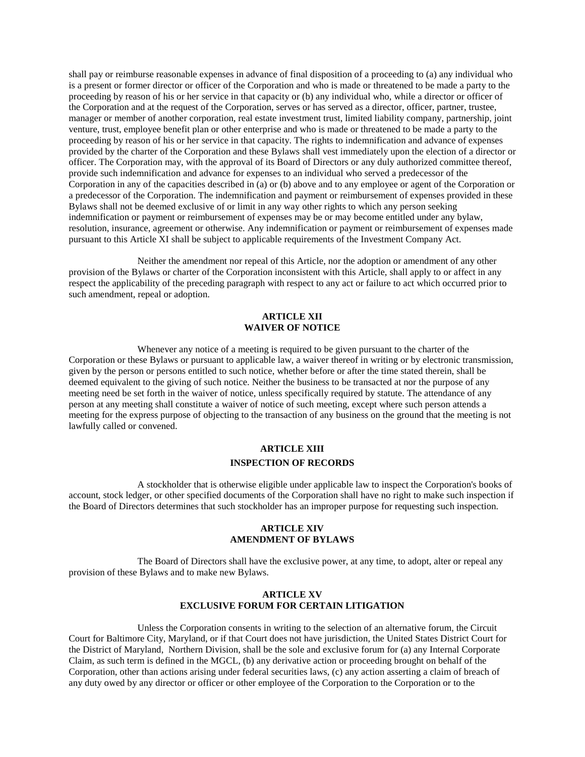shall pay or reimburse reasonable expenses in advance of final disposition of a proceeding to (a) any individual who is a present or former director or officer of the Corporation and who is made or threatened to be made a party to the proceeding by reason of his or her service in that capacity or (b) any individual who, while a director or officer of the Corporation and at the request of the Corporation, serves or has served as a director, officer, partner, trustee, manager or member of another corporation, real estate investment trust, limited liability company, partnership, joint venture, trust, employee benefit plan or other enterprise and who is made or threatened to be made a party to the proceeding by reason of his or her service in that capacity. The rights to indemnification and advance of expenses provided by the charter of the Corporation and these Bylaws shall vest immediately upon the election of a director or officer. The Corporation may, with the approval of its Board of Directors or any duly authorized committee thereof, provide such indemnification and advance for expenses to an individual who served a predecessor of the Corporation in any of the capacities described in (a) or (b) above and to any employee or agent of the Corporation or a predecessor of the Corporation. The indemnification and payment or reimbursement of expenses provided in these Bylaws shall not be deemed exclusive of or limit in any way other rights to which any person seeking indemnification or payment or reimbursement of expenses may be or may become entitled under any bylaw, resolution, insurance, agreement or otherwise. Any indemnification or payment or reimbursement of expenses made pursuant to this Article XI shall be subject to applicable requirements of the Investment Company Act.

Neither the amendment nor repeal of this Article, nor the adoption or amendment of any other provision of the Bylaws or charter of the Corporation inconsistent with this Article, shall apply to or affect in any respect the applicability of the preceding paragraph with respect to any act or failure to act which occurred prior to such amendment, repeal or adoption.

## **ARTICLE XII WAIVER OF NOTICE**

Whenever any notice of a meeting is required to be given pursuant to the charter of the Corporation or these Bylaws or pursuant to applicable law, a waiver thereof in writing or by electronic transmission, given by the person or persons entitled to such notice, whether before or after the time stated therein, shall be deemed equivalent to the giving of such notice. Neither the business to be transacted at nor the purpose of any meeting need be set forth in the waiver of notice, unless specifically required by statute. The attendance of any person at any meeting shall constitute a waiver of notice of such meeting, except where such person attends a meeting for the express purpose of objecting to the transaction of any business on the ground that the meeting is not lawfully called or convened.

# **ARTICLE XIII INSPECTION OF RECORDS**

A stockholder that is otherwise eligible under applicable law to inspect the Corporation's books of account, stock ledger, or other specified documents of the Corporation shall have no right to make such inspection if the Board of Directors determines that such stockholder has an improper purpose for requesting such inspection.

### **ARTICLE XIV AMENDMENT OF BYLAWS**

The Board of Directors shall have the exclusive power, at any time, to adopt, alter or repeal any provision of these Bylaws and to make new Bylaws.

### **ARTICLE XV EXCLUSIVE FORUM FOR CERTAIN LITIGATION**

Unless the Corporation consents in writing to the selection of an alternative forum, the Circuit Court for Baltimore City, Maryland, or if that Court does not have jurisdiction, the United States District Court for the District of Maryland, Northern Division, shall be the sole and exclusive forum for (a) any Internal Corporate Claim, as such term is defined in the MGCL, (b) any derivative action or proceeding brought on behalf of the Corporation, other than actions arising under federal securities laws, (c) any action asserting a claim of breach of any duty owed by any director or officer or other employee of the Corporation to the Corporation or to the